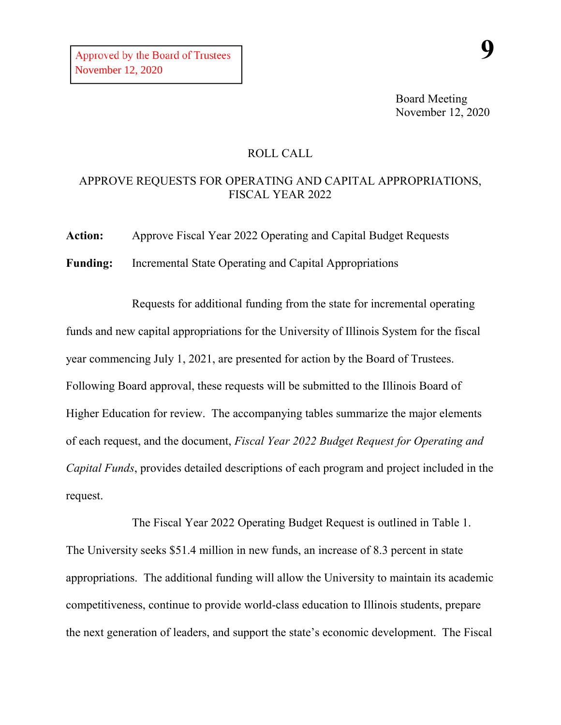## ROLL CALL

## APPROVE REQUESTS FOR OPERATING AND CAPITAL APPROPRIATIONS, FISCAL YEAR 2022

**Action:** Approve Fiscal Year 2022 Operating and Capital Budget Requests

**Funding:** Incremental State Operating and Capital Appropriations

Requests for additional funding from the state for incremental operating funds and new capital appropriations for the University of Illinois System for the fiscal year commencing July 1, 2021, are presented for action by the Board of Trustees. Following Board approval, these requests will be submitted to the Illinois Board of Higher Education for review. The accompanying tables summarize the major elements of each request, and the document, *Fiscal Year 2022 Budget Request for Operating and Capital Funds*, provides detailed descriptions of each program and project included in the request.

The Fiscal Year 2022 Operating Budget Request is outlined in Table 1. The University seeks \$51.4 million in new funds, an increase of 8.3 percent in state appropriations. The additional funding will allow the University to maintain its academic competitiveness, continue to provide world-class education to Illinois students, prepare the next generation of leaders, and support the state's economic development. The Fiscal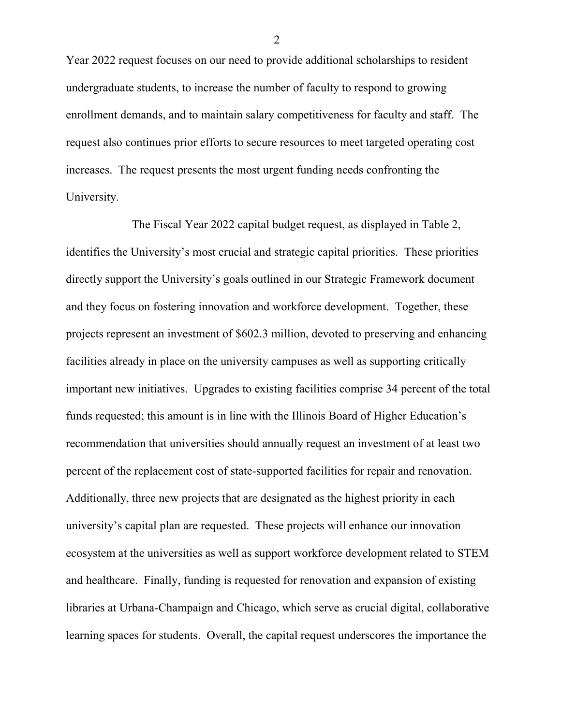Year 2022 request focuses on our need to provide additional scholarships to resident undergraduate students, to increase the number of faculty to respond to growing enrollment demands, and to maintain salary competitiveness for faculty and staff. The request also continues prior efforts to secure resources to meet targeted operating cost increases. The request presents the most urgent funding needs confronting the University.

The Fiscal Year 2022 capital budget request, as displayed in Table 2, identifies the University's most crucial and strategic capital priorities. These priorities directly support the University's goals outlined in our Strategic Framework document and they focus on fostering innovation and workforce development. Together, these projects represent an investment of \$602.3 million, devoted to preserving and enhancing facilities already in place on the university campuses as well as supporting critically important new initiatives. Upgrades to existing facilities comprise 34 percent of the total funds requested; this amount is in line with the Illinois Board of Higher Education's recommendation that universities should annually request an investment of at least two percent of the replacement cost of state-supported facilities for repair and renovation. Additionally, three new projects that are designated as the highest priority in each university's capital plan are requested. These projects will enhance our innovation ecosystem at the universities as well as support workforce development related to STEM and healthcare. Finally, funding is requested for renovation and expansion of existing libraries at Urbana-Champaign and Chicago, which serve as crucial digital, collaborative learning spaces for students. Overall, the capital request underscores the importance the

2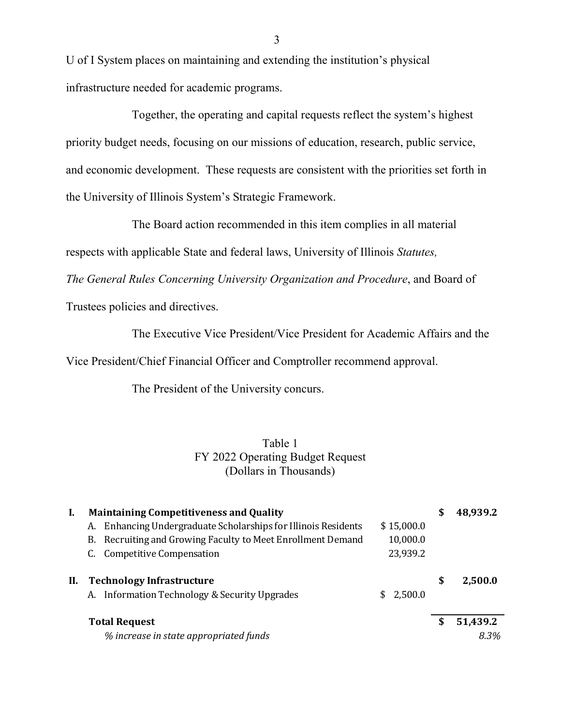U of I System places on maintaining and extending the institution's physical infrastructure needed for academic programs.

Together, the operating and capital requests reflect the system's highest priority budget needs, focusing on our missions of education, research, public service, and economic development. These requests are consistent with the priorities set forth in the University of Illinois System's Strategic Framework.

The Board action recommended in this item complies in all material

respects with applicable State and federal laws, University of Illinois *Statutes,*

*The General Rules Concerning University Organization and Procedure*, and Board of

Trustees policies and directives.

The Executive Vice President/Vice President for Academic Affairs and the

Vice President/Chief Financial Officer and Comptroller recommend approval.

The President of the University concurs.

## Table 1 FY 2022 Operating Budget Request (Dollars in Thousands)

| I. | <b>Maintaining Competitiveness and Quality</b>                                  | S            | 48,939.2 |          |
|----|---------------------------------------------------------------------------------|--------------|----------|----------|
|    | Enhancing Undergraduate Scholarships for Illinois Residents<br>\$15,000.0<br>А. |              |          |          |
|    | B. Recruiting and Growing Faculty to Meet Enrollment Demand                     | 10,000.0     |          |          |
|    | Competitive Compensation                                                        | 23,939.2     |          |          |
| П. | <b>Technology Infrastructure</b>                                                |              | \$       | 2,500.0  |
|    | A. Information Technology & Security Upgrades                                   | 2,500.0<br>S |          |          |
|    | <b>Total Request</b>                                                            |              | S        | 51,439.2 |
|    | % increase in state appropriated funds                                          |              |          | 8.3%     |